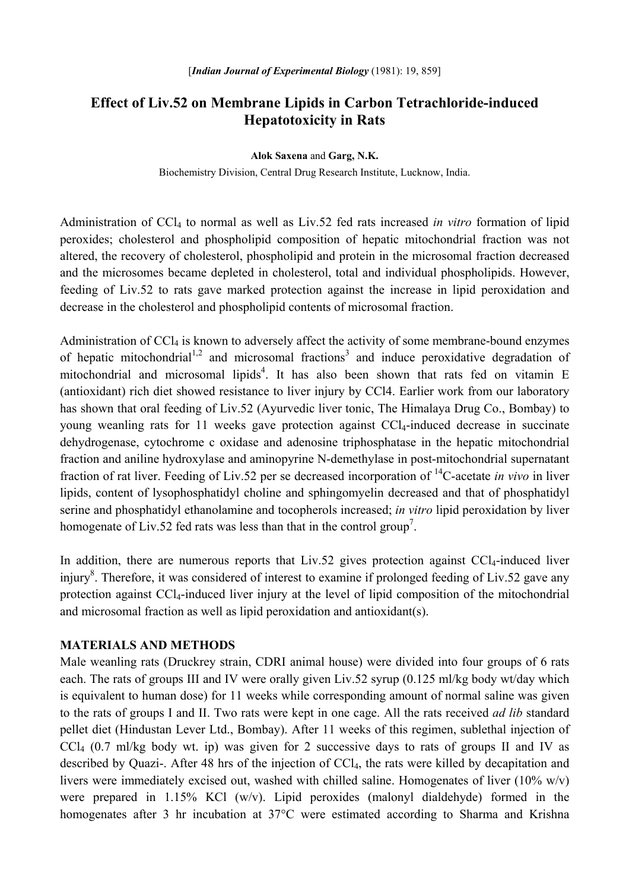# **Effect of Liv.52 on Membrane Lipids in Carbon Tetrachloride-induced Hepatotoxicity in Rats**

**Alok Saxena** and **Garg, N.K.** 

Biochemistry Division, Central Drug Research Institute, Lucknow, India.

Administration of CCl4 to normal as well as Liv.52 fed rats increased *in vitro* formation of lipid peroxides; cholesterol and phospholipid composition of hepatic mitochondrial fraction was not altered, the recovery of cholesterol, phospholipid and protein in the microsomal fraction decreased and the microsomes became depleted in cholesterol, total and individual phospholipids. However, feeding of Liv.52 to rats gave marked protection against the increase in lipid peroxidation and decrease in the cholesterol and phospholipid contents of microsomal fraction.

Administration of CCl<sub>4</sub> is known to adversely affect the activity of some membrane-bound enzymes of hepatic mitochondrial<sup>1,2</sup> and microsomal fractions<sup>3</sup> and induce peroxidative degradation of mitochondrial and microsomal lipids<sup>4</sup>. It has also been shown that rats fed on vitamin E (antioxidant) rich diet showed resistance to liver injury by CCl4. Earlier work from our laboratory has shown that oral feeding of Liv.52 (Ayurvedic liver tonic, The Himalaya Drug Co., Bombay) to young weanling rats for 11 weeks gave protection against CCl4-induced decrease in succinate dehydrogenase, cytochrome c oxidase and adenosine triphosphatase in the hepatic mitochondrial fraction and aniline hydroxylase and aminopyrine N-demethylase in post-mitochondrial supernatant fraction of rat liver. Feeding of Liv.52 per se decreased incorporation of 14C-acetate *in vivo* in liver lipids, content of lysophosphatidyl choline and sphingomyelin decreased and that of phosphatidyl serine and phosphatidyl ethanolamine and tocopherols increased; *in vitro* lipid peroxidation by liver homogenate of Liv.52 fed rats was less than that in the control group<sup>7</sup>.

In addition, there are numerous reports that Liv.52 gives protection against  $CCl<sub>4</sub>$ -induced liver injury<sup>8</sup>. Therefore, it was considered of interest to examine if prolonged feeding of Liv.52 gave any protection against CCl4-induced liver injury at the level of lipid composition of the mitochondrial and microsomal fraction as well as lipid peroxidation and antioxidant(s).

## **MATERIALS AND METHODS**

Male weanling rats (Druckrey strain, CDRI animal house) were divided into four groups of 6 rats each. The rats of groups III and IV were orally given Liv.52 syrup (0.125 ml/kg body wt/day which is equivalent to human dose) for 11 weeks while corresponding amount of normal saline was given to the rats of groups I and II. Two rats were kept in one cage. All the rats received *ad lib* standard pellet diet (Hindustan Lever Ltd., Bombay). After 11 weeks of this regimen, sublethal injection of CCl4 (0.7 ml/kg body wt. ip) was given for 2 successive days to rats of groups II and IV as described by Quazi-. After 48 hrs of the injection of CCl<sub>4</sub>, the rats were killed by decapitation and livers were immediately excised out, washed with chilled saline. Homogenates of liver  $(10\% \text{ w/v})$ were prepared in 1.15% KCl (w/v). Lipid peroxides (malonyl dialdehyde) formed in the homogenates after 3 hr incubation at 37°C were estimated according to Sharma and Krishna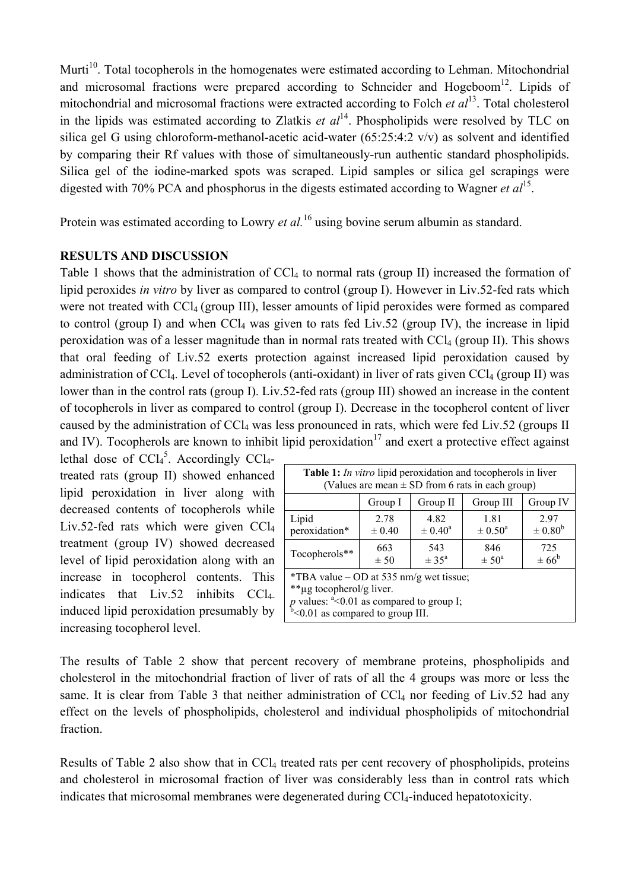Murti<sup>10</sup>. Total tocopherols in the homogenates were estimated according to Lehman. Mitochondrial and microsomal fractions were prepared according to Schneider and Hogeboom<sup>12</sup>. Lipids of mitochondrial and microsomal fractions were extracted according to Folch *et al*13. Total cholesterol in the lipids was estimated according to Zlatkis *et*  $al<sup>14</sup>$ . Phospholipids were resolved by TLC on silica gel G using chloroform-methanol-acetic acid-water (65:25:4:2 v/v) as solvent and identified by comparing their Rf values with those of simultaneously-run authentic standard phospholipids. Silica gel of the iodine-marked spots was scraped. Lipid samples or silica gel scrapings were digested with 70% PCA and phosphorus in the digests estimated according to Wagner *et al*15.

Protein was estimated according to Lowry *et al.*<sup>16</sup> using bovine serum albumin as standard.

## **RESULTS AND DISCUSSION**

Table 1 shows that the administration of  $CCl<sub>4</sub>$  to normal rats (group II) increased the formation of lipid peroxides *in vitro* by liver as compared to control (group I). However in Liv.52-fed rats which were not treated with CCl<sub>4</sub> (group III), lesser amounts of lipid peroxides were formed as compared to control (group I) and when  $CCl<sub>4</sub>$  was given to rats fed Liv.52 (group IV), the increase in lipid peroxidation was of a lesser magnitude than in normal rats treated with CCl4 (group II). This shows that oral feeding of Liv.52 exerts protection against increased lipid peroxidation caused by administration of CCl<sub>4</sub>. Level of tocopherols (anti-oxidant) in liver of rats given CCl<sub>4</sub> (group II) was lower than in the control rats (group I). Liv.52-fed rats (group III) showed an increase in the content of tocopherols in liver as compared to control (group I). Decrease in the tocopherol content of liver caused by the administration of CCL was less pronounced in rats, which were fed Liv.52 (groups II and IV). Tocopherols are known to inhibit lipid peroxidation<sup>17</sup> and exert a protective effect against

lethal dose of  $CCl<sub>4</sub><sup>5</sup>$ . Accordingly CCl<sub>4</sub>treated rats (group II) showed enhanced lipid peroxidation in liver along with decreased contents of tocopherols while Liv.52-fed rats which were given  $CCl<sub>4</sub>$ treatment (group IV) showed decreased level of lipid peroxidation along with an increase in tocopherol contents. This indicates that Liv.52 inhibits CCl4 induced lipid peroxidation presumably by increasing tocopherol level.

| <b>Table 1:</b> In vitro lipid peroxidation and tocopherols in liver<br>(Values are mean $\pm$ SD from 6 rats in each group) |                    |                              |                            |                            |  |
|------------------------------------------------------------------------------------------------------------------------------|--------------------|------------------------------|----------------------------|----------------------------|--|
|                                                                                                                              | Group I            | Group II                     | Group III                  | Group IV                   |  |
| Lipid<br>peroxidation*                                                                                                       | 2.78<br>$\pm 0.40$ | 4.82<br>$\pm 0.40^{\rm a}$   | 1.81<br>$\pm 0.50^{\circ}$ | 2.97<br>$\pm 0.80^{\rm b}$ |  |
| Tocopherols**                                                                                                                | 663<br>± 50        | 543<br>$\pm$ 35 <sup>a</sup> | 846<br>$\pm 50^{\circ}$    | 725<br>$\pm 66^{\rm b}$    |  |
| *TBA value – OD at 535 nm/g wet tissue;<br>**ug tocopherol/g liver.                                                          |                    |                              |                            |                            |  |

*p* values:  $a < 0.01$  as compared to group I;

 $b$ <0.01 as compared to group III.

The results of Table 2 show that percent recovery of membrane proteins, phospholipids and cholesterol in the mitochondrial fraction of liver of rats of all the 4 groups was more or less the same. It is clear from Table 3 that neither administration of  $\text{CCl}_4$  nor feeding of Liv.52 had any effect on the levels of phospholipids, cholesterol and individual phospholipids of mitochondrial fraction.

Results of Table 2 also show that in CCl<sub>4</sub> treated rats per cent recovery of phospholipids, proteins and cholesterol in microsomal fraction of liver was considerably less than in control rats which indicates that microsomal membranes were degenerated during CCl<sub>4</sub>-induced hepatotoxicity.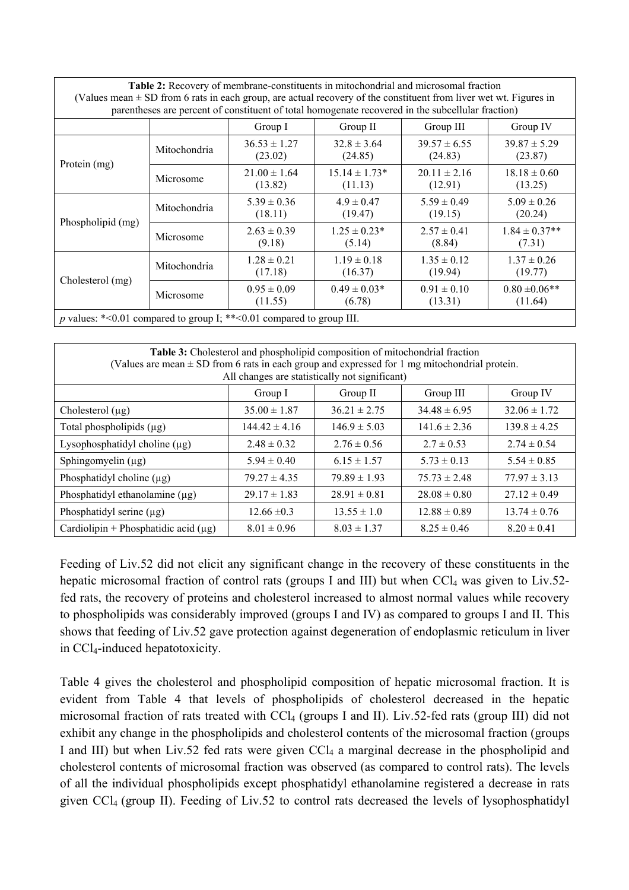| Table 2: Recovery of membrane-constituents in mitochondrial and microsomal fraction                                                                                                                                        |              |                             |                              |                             |                               |
|----------------------------------------------------------------------------------------------------------------------------------------------------------------------------------------------------------------------------|--------------|-----------------------------|------------------------------|-----------------------------|-------------------------------|
| (Values mean $\pm$ SD from 6 rats in each group, are actual recovery of the constituent from liver wet wt. Figures in<br>parentheses are percent of constituent of total homogenate recovered in the subcellular fraction) |              |                             |                              |                             |                               |
|                                                                                                                                                                                                                            |              | Group I                     | Group II                     | Group III                   | Group IV                      |
| Protein (mg)                                                                                                                                                                                                               | Mitochondria | $36.53 \pm 1.27$<br>(23.02) | $32.8 \pm 3.64$<br>(24.85)   | $39.57 \pm 6.55$<br>(24.83) | $39.87 \pm 5.29$<br>(23.87)   |
|                                                                                                                                                                                                                            | Microsome    | $21.00 \pm 1.64$<br>(13.82) | $15.14 \pm 1.73*$<br>(11.13) | $20.11 \pm 2.16$<br>(12.91) | $18.18 \pm 0.60$<br>(13.25)   |
| Phospholipid (mg)                                                                                                                                                                                                          | Mitochondria | $5.39 \pm 0.36$<br>(18.11)  | $4.9 \pm 0.47$<br>(19.47)    | $5.59 \pm 0.49$<br>(19.15)  | $5.09 \pm 0.26$<br>(20.24)    |
|                                                                                                                                                                                                                            | Microsome    | $2.63 \pm 0.39$<br>(9.18)   | $1.25 \pm 0.23*$<br>(5.14)   | $2.57 \pm 0.41$<br>(8.84)   | $1.84 \pm 0.37**$<br>(7.31)   |
| Cholesterol (mg)                                                                                                                                                                                                           | Mitochondria | $1.28 \pm 0.21$<br>(17.18)  | $1.19 \pm 0.18$<br>(16.37)   | $1.35 \pm 0.12$<br>(19.94)  | $1.37 \pm 0.26$<br>(19.77)    |
|                                                                                                                                                                                                                            | Microsome    | $0.95 \pm 0.09$<br>(11.55)  | $0.49 \pm 0.03*$<br>(6.78)   | $0.91 \pm 0.10$<br>(13.31)  | $0.80 \pm 0.06$ **<br>(11.64) |
| p values: *< 0.01 compared to group I; ** < 0.01 compared to group III.                                                                                                                                                    |              |                             |                              |                             |                               |

| Table 3: Cholesterol and phospholipid composition of mitochondrial fraction<br>(Values are mean $\pm$ SD from 6 rats in each group and expressed for 1 mg mitochondrial protein.<br>All changes are statistically not significant) |                   |                  |                  |                  |  |
|------------------------------------------------------------------------------------------------------------------------------------------------------------------------------------------------------------------------------------|-------------------|------------------|------------------|------------------|--|
|                                                                                                                                                                                                                                    | Group I           | Group II         | Group III        | Group IV         |  |
| Cholesterol $(\mu g)$                                                                                                                                                                                                              | $35.00 \pm 1.87$  | $36.21 \pm 2.75$ | $34.48 \pm 6.95$ | $32.06 \pm 1.72$ |  |
| Total phospholipids $(\mu g)$                                                                                                                                                                                                      | $144.42 \pm 4.16$ | $146.9 \pm 5.03$ | $141.6 \pm 2.36$ | $139.8 \pm 4.25$ |  |
| Lysophosphatidyl choline $(\mu g)$                                                                                                                                                                                                 | $2.48 \pm 0.32$   | $2.76 \pm 0.56$  | $2.7 \pm 0.53$   | $2.74 \pm 0.54$  |  |
| Sphingomyelin $(\mu g)$                                                                                                                                                                                                            | $5.94 \pm 0.40$   | $6.15 \pm 1.57$  | $5.73 \pm 0.13$  | $5.54 \pm 0.85$  |  |
| Phosphatidyl choline $(\mu g)$                                                                                                                                                                                                     | $79.27 \pm 4.35$  | $79.89 \pm 1.93$ | $75.73 \pm 2.48$ | $77.97 \pm 3.13$ |  |
| Phosphatidyl ethanolamine $(\mu g)$                                                                                                                                                                                                | $29.17 \pm 1.83$  | $28.91 \pm 0.81$ | $28.08 \pm 0.80$ | $27.12 \pm 0.49$ |  |
| Phosphatidyl serine $(\mu g)$                                                                                                                                                                                                      | $12.66 \pm 0.3$   | $13.55 \pm 1.0$  | $12.88 \pm 0.89$ | $13.74 \pm 0.76$ |  |
| Cardiolipin + Phosphatidic acid $(\mu g)$                                                                                                                                                                                          | $8.01 \pm 0.96$   | $8.03 \pm 1.37$  | $8.25 \pm 0.46$  | $8.20 \pm 0.41$  |  |

Feeding of Liv.52 did not elicit any significant change in the recovery of these constituents in the hepatic microsomal fraction of control rats (groups I and III) but when  $CCl<sub>4</sub>$  was given to Liv.52fed rats, the recovery of proteins and cholesterol increased to almost normal values while recovery to phospholipids was considerably improved (groups I and IV) as compared to groups I and II. This shows that feeding of Liv.52 gave protection against degeneration of endoplasmic reticulum in liver in CCl4-induced hepatotoxicity.

Table 4 gives the cholesterol and phospholipid composition of hepatic microsomal fraction. It is evident from Table 4 that levels of phospholipids of cholesterol decreased in the hepatic microsomal fraction of rats treated with CCl<sub>4</sub> (groups I and II). Liv.52-fed rats (group III) did not exhibit any change in the phospholipids and cholesterol contents of the microsomal fraction (groups I and III) but when Liv.52 fed rats were given CCl<sub>4</sub> a marginal decrease in the phospholipid and cholesterol contents of microsomal fraction was observed (as compared to control rats). The levels of all the individual phospholipids except phosphatidyl ethanolamine registered a decrease in rats given CCl4 (group II). Feeding of Liv.52 to control rats decreased the levels of lysophosphatidyl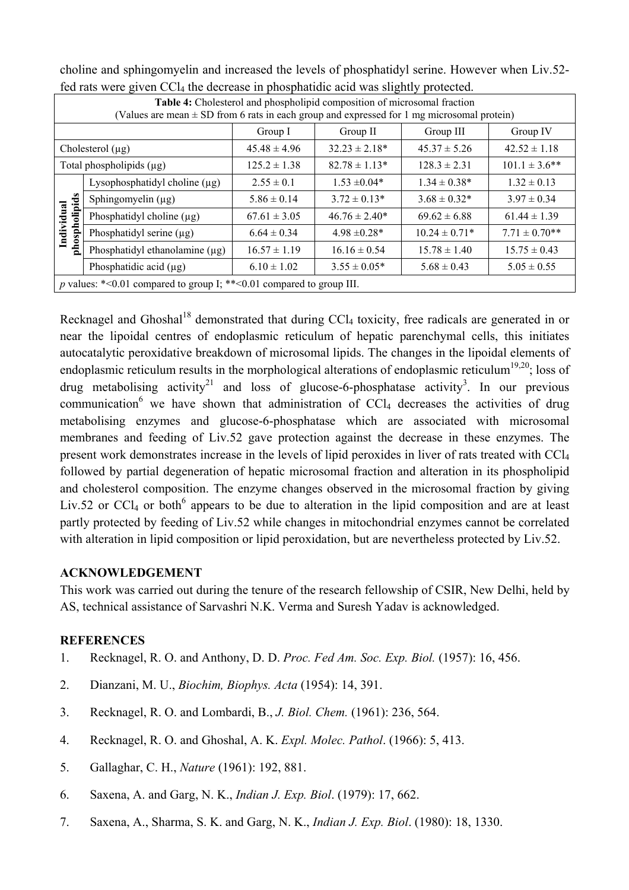| Iva rais were given con and accrease in phosphanare acra was sugnity protected.                                                                                            |                                     |                  |                    |                   |                    |
|----------------------------------------------------------------------------------------------------------------------------------------------------------------------------|-------------------------------------|------------------|--------------------|-------------------|--------------------|
| Table 4: Cholesterol and phospholipid composition of microsomal fraction<br>(Values are mean $\pm$ SD from 6 rats in each group and expressed for 1 mg microsomal protein) |                                     |                  |                    |                   |                    |
|                                                                                                                                                                            |                                     | Group I          | Group II           | Group III         | Group IV           |
| Cholesterol $(\mu g)$                                                                                                                                                      |                                     | $45.48 \pm 4.96$ | $32.23 \pm 2.18^*$ | $45.37 \pm 5.26$  | $42.52 \pm 1.18$   |
| Total phospholipids $(\mu g)$                                                                                                                                              |                                     | $125.2 \pm 1.38$ | $82.78 \pm 1.13*$  | $128.3 \pm 2.31$  | $101.1 \pm 3.6$ ** |
| phospholipids<br>Individual                                                                                                                                                | Lysophosphatidyl choline $(\mu g)$  | $2.55 \pm 0.1$   | $1.53 \pm 0.04*$   | $1.34 \pm 0.38*$  | $1.32 \pm 0.13$    |
|                                                                                                                                                                            | Sphingomyelin $(\mu g)$             | $5.86 \pm 0.14$  | $3.72 \pm 0.13*$   | $3.68 \pm 0.32*$  | $3.97 \pm 0.34$    |
|                                                                                                                                                                            | Phosphatidyl choline $(\mu g)$      | $67.61 \pm 3.05$ | $46.76 \pm 2.40*$  | $69.62 \pm 6.88$  | $61.44 \pm 1.39$   |
|                                                                                                                                                                            | Phosphatidyl serine $(\mu g)$       | $6.64 \pm 0.34$  | $4.98 \pm 0.28^*$  | $10.24 \pm 0.71*$ | $7.71 \pm 0.70**$  |
|                                                                                                                                                                            | Phosphatidyl ethanolamine $(\mu g)$ | $16.57 \pm 1.19$ | $16.16 \pm 0.54$   | $15.78 \pm 1.40$  | $15.75 \pm 0.43$   |
|                                                                                                                                                                            | Phosphatidic acid $(\mu g)$         | $6.10 \pm 1.02$  | $3.55 \pm 0.05*$   | $5.68 \pm 0.43$   | $5.05 \pm 0.55$    |
| p values: $*<0.01$ compared to group I; $**<0.01$ compared to group III.                                                                                                   |                                     |                  |                    |                   |                    |

choline and sphingomyelin and increased the levels of phosphatidyl serine. However when Liv.52 fed rats were given CC $l_4$  the decrease in phosphatidic acid was slightly protected.

Recknagel and Ghoshal<sup>18</sup> demonstrated that during  $CCl_4$  toxicity, free radicals are generated in or near the lipoidal centres of endoplasmic reticulum of hepatic parenchymal cells, this initiates autocatalytic peroxidative breakdown of microsomal lipids. The changes in the lipoidal elements of endoplasmic reticulum results in the morphological alterations of endoplasmic reticulum<sup>19,20</sup>; loss of drug metabolising activity<sup>21</sup> and loss of glucose-6-phosphatase activity<sup>3</sup>. In our previous communication<sup>6</sup> we have shown that administration of CCl<sub>4</sub> decreases the activities of drug metabolising enzymes and glucose-6-phosphatase which are associated with microsomal membranes and feeding of Liv.52 gave protection against the decrease in these enzymes. The present work demonstrates increase in the levels of lipid peroxides in liver of rats treated with CCl4 followed by partial degeneration of hepatic microsomal fraction and alteration in its phospholipid and cholesterol composition. The enzyme changes observed in the microsomal fraction by giving Liv.52 or CCl<sub>4</sub> or both<sup>6</sup> appears to be due to alteration in the lipid composition and are at least partly protected by feeding of Liv.52 while changes in mitochondrial enzymes cannot be correlated with alteration in lipid composition or lipid peroxidation, but are nevertheless protected by Liv.52.

## **ACKNOWLEDGEMENT**

This work was carried out during the tenure of the research fellowship of CSIR, New Delhi, held by AS, technical assistance of Sarvashri N.K. Verma and Suresh Yadav is acknowledged.

### **REFERENCES**

- 1. Recknagel, R. O. and Anthony, D. D. *Proc. Fed Am. Soc. Exp. Biol.* (1957): 16, 456.
- 2. Dianzani, M. U., *Biochim, Biophys. Acta* (1954): 14, 391.
- 3. Recknagel, R. O. and Lombardi, B., *J. Biol. Chem.* (1961): 236, 564.
- 4. Recknagel, R. O. and Ghoshal, A. K. *Expl. Molec. Pathol*. (1966): 5, 413.
- 5. Gallaghar, C. H., *Nature* (1961): 192, 881.
- 6. Saxena, A. and Garg, N. K., *Indian J. Exp. Biol*. (1979): 17, 662.
- 7. Saxena, A., Sharma, S. K. and Garg, N. K., *Indian J. Exp. Biol*. (1980): 18, 1330.